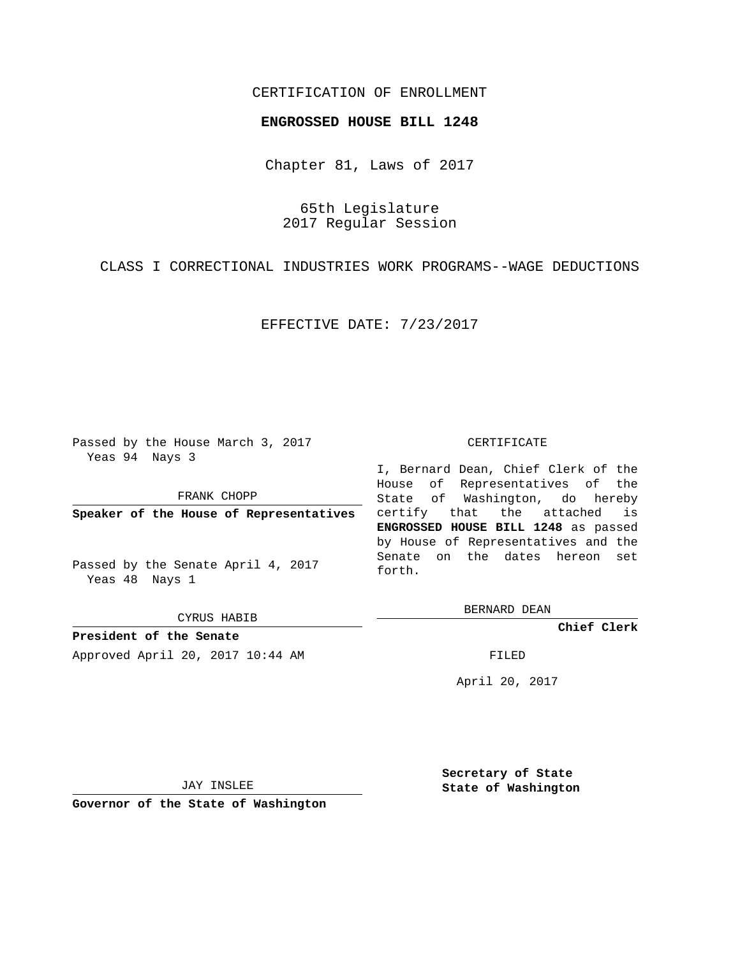## CERTIFICATION OF ENROLLMENT

## **ENGROSSED HOUSE BILL 1248**

Chapter 81, Laws of 2017

65th Legislature 2017 Regular Session

CLASS I CORRECTIONAL INDUSTRIES WORK PROGRAMS--WAGE DEDUCTIONS

EFFECTIVE DATE: 7/23/2017

Passed by the House March 3, 2017 Yeas 94 Nays 3

FRANK CHOPP

**Speaker of the House of Representatives**

Passed by the Senate April 4, 2017 Yeas 48 Nays 1

CYRUS HABIB

**President of the Senate** Approved April 20, 2017 10:44 AM FILED

## CERTIFICATE

I, Bernard Dean, Chief Clerk of the House of Representatives of the State of Washington, do hereby certify that the attached is **ENGROSSED HOUSE BILL 1248** as passed by House of Representatives and the Senate on the dates hereon set forth.

BERNARD DEAN

**Chief Clerk**

April 20, 2017

JAY INSLEE

**Governor of the State of Washington**

**Secretary of State State of Washington**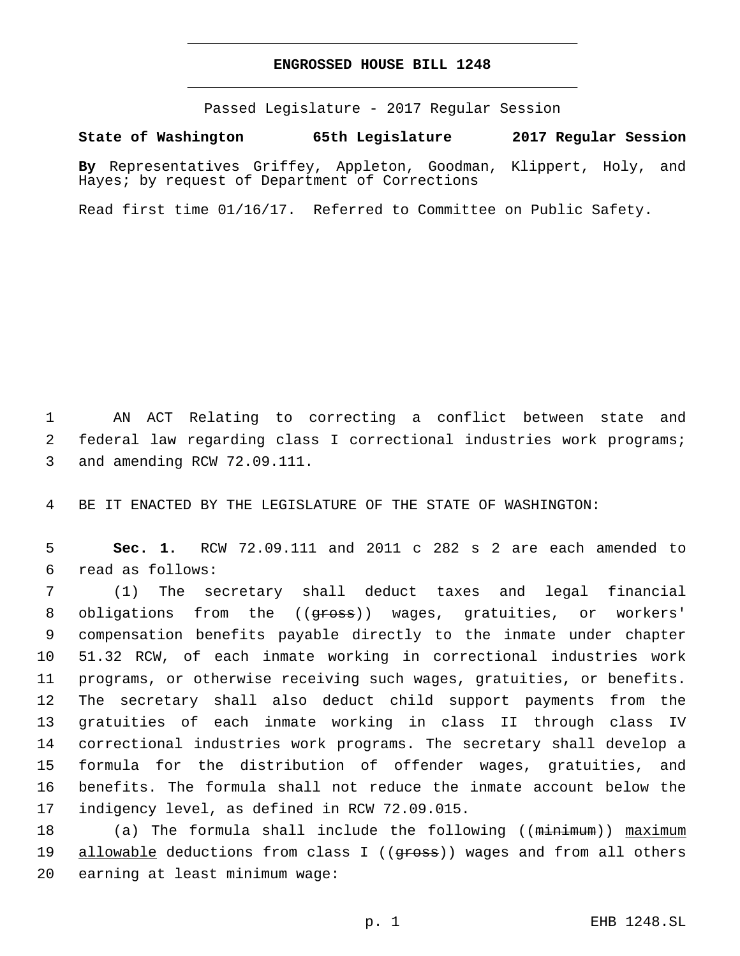## **ENGROSSED HOUSE BILL 1248**

Passed Legislature - 2017 Regular Session

**State of Washington 65th Legislature 2017 Regular Session**

**By** Representatives Griffey, Appleton, Goodman, Klippert, Holy, and Hayes; by request of Department of Corrections

Read first time 01/16/17. Referred to Committee on Public Safety.

1 AN ACT Relating to correcting a conflict between state and 2 federal law regarding class I correctional industries work programs; 3 and amending RCW 72.09.111.

4 BE IT ENACTED BY THE LEGISLATURE OF THE STATE OF WASHINGTON:

5 **Sec. 1.** RCW 72.09.111 and 2011 c 282 s 2 are each amended to read as follows:6

 (1) The secretary shall deduct taxes and legal financial 8 obligations from the ((<del>gross</del>)) wages, gratuities, or workers' compensation benefits payable directly to the inmate under chapter 51.32 RCW, of each inmate working in correctional industries work programs, or otherwise receiving such wages, gratuities, or benefits. The secretary shall also deduct child support payments from the gratuities of each inmate working in class II through class IV correctional industries work programs. The secretary shall develop a formula for the distribution of offender wages, gratuities, and benefits. The formula shall not reduce the inmate account below the 17 indigency level, as defined in RCW 72.09.015.

18 (a) The formula shall include the following ((minimum)) maximum 19 allowable deductions from class I ((gross)) wages and from all others 20 earning at least minimum wage: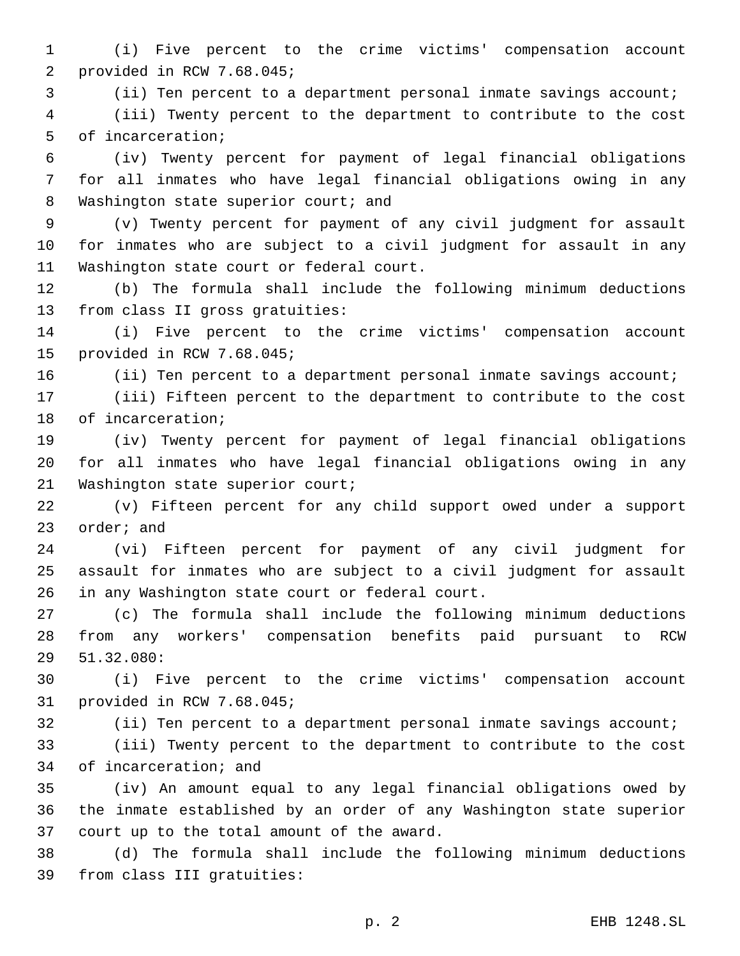1 (i) Five percent to the crime victims' compensation account 2 provided in RCW 7.68.045;

3 (ii) Ten percent to a department personal inmate savings account;

4 (iii) Twenty percent to the department to contribute to the cost 5 of incarceration;

6 (iv) Twenty percent for payment of legal financial obligations 7 for all inmates who have legal financial obligations owing in any 8 Washington state superior court; and

9 (v) Twenty percent for payment of any civil judgment for assault 10 for inmates who are subject to a civil judgment for assault in any 11 Washington state court or federal court.

12 (b) The formula shall include the following minimum deductions 13 from class II gross gratuities:

14 (i) Five percent to the crime victims' compensation account 15 provided in RCW 7.68.045;

16 (ii) Ten percent to a department personal inmate savings account;

17 (iii) Fifteen percent to the department to contribute to the cost 18 of incarceration;

19 (iv) Twenty percent for payment of legal financial obligations 20 for all inmates who have legal financial obligations owing in any 21 Washington state superior court;

22 (v) Fifteen percent for any child support owed under a support 23 order; and

24 (vi) Fifteen percent for payment of any civil judgment for 25 assault for inmates who are subject to a civil judgment for assault 26 in any Washington state court or federal court.

27 (c) The formula shall include the following minimum deductions 28 from any workers' compensation benefits paid pursuant to RCW 51.32.080:29

30 (i) Five percent to the crime victims' compensation account 31 provided in RCW 7.68.045;

32 (ii) Ten percent to a department personal inmate savings account;

33 (iii) Twenty percent to the department to contribute to the cost 34 of incarceration; and

35 (iv) An amount equal to any legal financial obligations owed by 36 the inmate established by an order of any Washington state superior 37 court up to the total amount of the award.

38 (d) The formula shall include the following minimum deductions 39 from class III gratuities: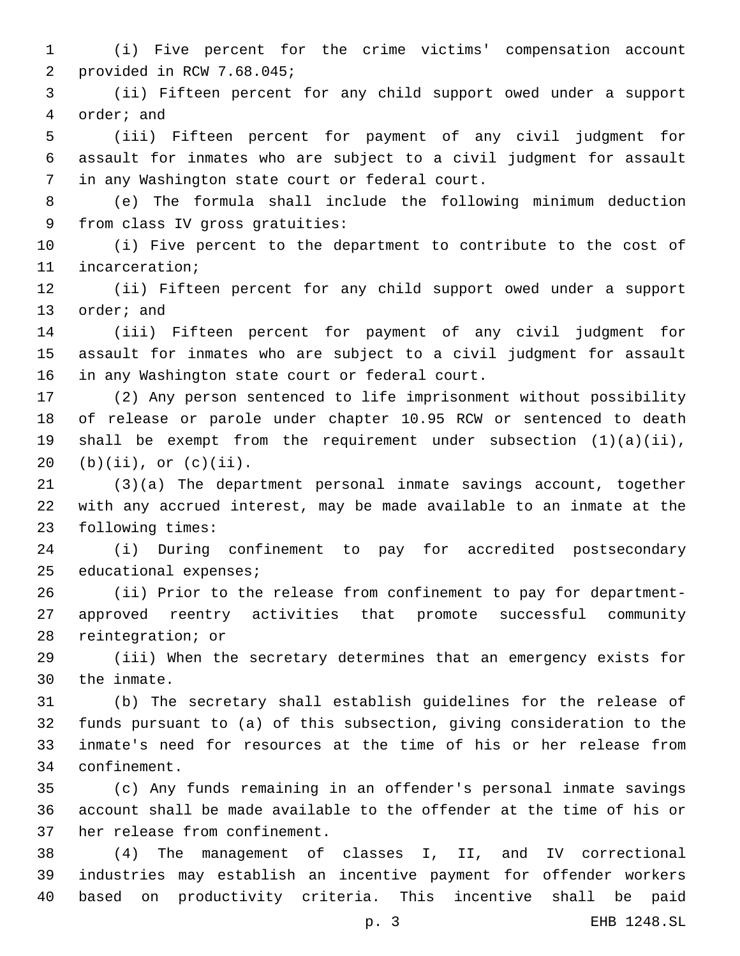(i) Five percent for the crime victims' compensation account 2 provided in RCW 7.68.045;

 (ii) Fifteen percent for any child support owed under a support 4 order; and

 (iii) Fifteen percent for payment of any civil judgment for assault for inmates who are subject to a civil judgment for assault 7 in any Washington state court or federal court.

 (e) The formula shall include the following minimum deduction 9 from class IV gross gratuities:

 (i) Five percent to the department to contribute to the cost of 11 incarceration;

 (ii) Fifteen percent for any child support owed under a support 13 order; and

 (iii) Fifteen percent for payment of any civil judgment for assault for inmates who are subject to a civil judgment for assault 16 in any Washington state court or federal court.

 (2) Any person sentenced to life imprisonment without possibility of release or parole under chapter 10.95 RCW or sentenced to death shall be exempt from the requirement under subsection (1)(a)(ii), 20 (b)(ii), or  $(c)(ii)$ .

 (3)(a) The department personal inmate savings account, together with any accrued interest, may be made available to an inmate at the 23 following times:

 (i) During confinement to pay for accredited postsecondary 25 educational expenses;

 (ii) Prior to the release from confinement to pay for department- approved reentry activities that promote successful community 28 reintegration; or

 (iii) When the secretary determines that an emergency exists for 30 the inmate.

 (b) The secretary shall establish guidelines for the release of funds pursuant to (a) of this subsection, giving consideration to the inmate's need for resources at the time of his or her release from confinement.34

 (c) Any funds remaining in an offender's personal inmate savings account shall be made available to the offender at the time of his or 37 her release from confinement.

 (4) The management of classes I, II, and IV correctional industries may establish an incentive payment for offender workers based on productivity criteria. This incentive shall be paid

p. 3 EHB 1248.SL